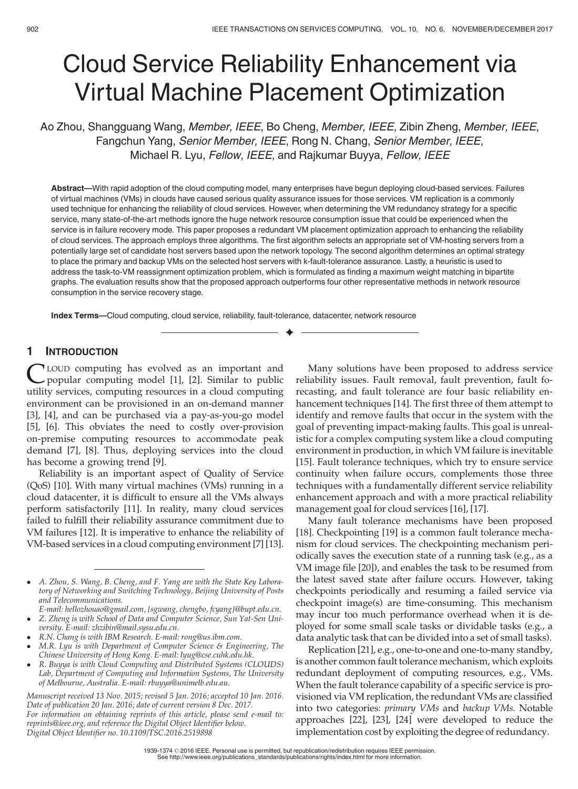# Cloud Service Reliability Enhancement via Virtual Machine Placement Optimization

Ao Zhou, Shangguang Wang, Member, IEEE, Bo Cheng, Member, IEEE, Zibin Zheng, Member, IEEE, Fangchun Yang, Senior Member, IEEE, Rong N. Chang, Senior Member, IEEE, Michael R. Lyu, Fellow, IEEE, and Rajkumar Buyya, Fellow, IEEE

Abstract—With rapid adoption of the cloud computing model, many enterprises have begun deploying cloud-based services. Failures of virtual machines (VMs) in clouds have caused serious quality assurance issues for those services. VM replication is a commonly used technique for enhancing the reliability of cloud services. However, when determining the VM redundancy strategy for a specific service, many state-of-the-art methods ignore the huge network resource consumption issue that could be experienced when the service is in failure recovery mode. This paper proposes a redundant VM placement optimization approach to enhancing the reliability of cloud services. The approach employs three algorithms. The first algorithm selects an appropriate set of VM-hosting servers from a potentially large set of candidate host servers based upon the network topology. The second algorithm determines an optimal strategy to place the primary and backup VMs on the selected host servers with k-fault-tolerance assurance. Lastly, a heuristic is used to address the task-to-VM reassignment optimization problem, which is formulated as finding a maximum weight matching in bipartite graphs. The evaluation results show that the proposed approach outperforms four other representative methods in network resource consumption in the service recovery stage.

 $\blacklozenge$ 

Index Terms—Cloud computing, cloud service, reliability, fault-tolerance, datacenter, network resource

# 1 INTRODUCTION

LOUD computing has evolved as an important and popular computing model [1], [2]. Similar to public utility services, computing resources in a cloud computing environment can be provisioned in an on-demand manner [3], [4], and can be purchased via a pay-as-you-go model [5], [6]. This obviates the need to costly over-provision on-premise computing resources to accommodate peak demand [7], [8]. Thus, deploying services into the cloud has become a growing trend [9].

Reliability is an important aspect of Quality of Service (QoS) [10]. With many virtual machines (VMs) running in a cloud datacenter, it is difficult to ensure all the VMs always perform satisfactorily [11]. In reality, many cloud services failed to fulfill their reliability assurance commitment due to VM failures [12]. It is imperative to enhance the reliability of VM-based services in a cloud computing environment [7] [13].

Manuscript received 13 Nov. 2015; revised 5 Jan. 2016; accepted 10 Jan. 2016. Date of publication 20 Jan. 2016; date of current version 8 Dec. 2017. For information on obtaining reprints of this article, please send e-mail to: reprints@ieee.org, and reference the Digital Object Identifier below. Digital Object Identifier no. 10.1109/TSC.2016.2519898

Many solutions have been proposed to address service reliability issues. Fault removal, fault prevention, fault forecasting, and fault tolerance are four basic reliability enhancement techniques [14]. The first three of them attempt to identify and remove faults that occur in the system with the goal of preventing impact-making faults. This goal is unrealistic for a complex computing system like a cloud computing environment in production, in which VM failure is inevitable [15]. Fault tolerance techniques, which try to ensure service continuity when failure occurs, complements those three techniques with a fundamentally different service reliability enhancement approach and with a more practical reliability management goal for cloud services [16], [17].

Many fault tolerance mechanisms have been proposed [18]. Checkpointing [19] is a common fault tolerance mechanism for cloud services. The checkpointing mechanism periodically saves the execution state of a running task (e.g., as a VM image file [20]), and enables the task to be resumed from the latest saved state after failure occurs. However, taking checkpoints periodically and resuming a failed service via checkpoint image(s) are time-consuming. This mechanism may incur too much performance overhead when it is deployed for some small scale tasks or dividable tasks (e.g., a data analytic task that can be divided into a set of small tasks).

Replication [21], e.g., one-to-one and one-to-many standby, is another common fault tolerance mechanism, which exploits redundant deployment of computing resources, e.g., VMs. When the fault tolerance capability of a specific service is provisioned via VM replication, the redundant VMs are classified into two categories: primary VMs and backup VMs. Notable approaches [22], [23], [24] were developed to reduce the implementation cost by exploiting the degree of redundancy.

A. Zhou, S. Wang, B. Cheng, and F. Yang are with the State Key Laboratory of Networking and Switching Technology, Beijing University of Posts and Telecommunications.

E-mail: [hellozhouao@gmail.com,](mailto:) [{sgwang, chengbo, fcyang}@bupt.edu.cn](mailto:). Z. Zheng is with School of Data and Computer Science, Sun Yat-Sen University. E-mail: [zhzibin@mail.sysu.edu.cn](mailto:).

R.N. Chang is with IBM Research. E-mail: [rong@us.ibm.com.](mailto:)

M.R. Lyu is with Department of Computer Science & Engineering, The Chinese University of Hong Kong. E-mail: [lyug@cse.cuhk.edu.hk](mailto:).

R. Buyya is with Cloud Computing and Distributed Systems (CLOUDS) Lab, Department of Computing and Information Systems, The University of Melbourne, Australia. E-mail: [rbuyya@unimelb.edu.au.](mailto:)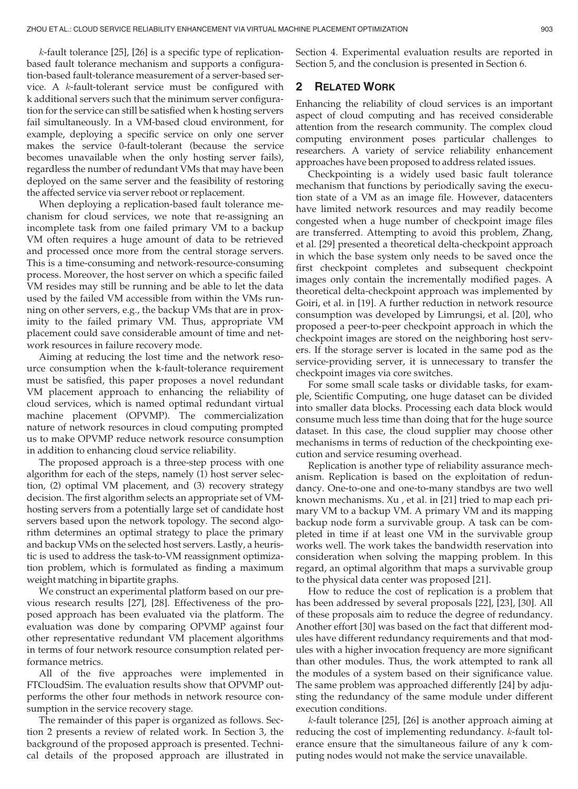k-fault tolerance [25], [26] is a specific type of replicationbased fault tolerance mechanism and supports a configuration-based fault-tolerance measurement of a server-based service. A k-fault-tolerant service must be configured with k additional servers such that the minimum server configuration for the service can still be satisfied when k hosting servers fail simultaneously. In a VM-based cloud environment, for example, deploying a specific service on only one server makes the service 0-fault-tolerant (because the service becomes unavailable when the only hosting server fails), regardless the number of redundant VMs that may have been deployed on the same server and the feasibility of restoring the affected service via server reboot or replacement.

When deploying a replication-based fault tolerance mechanism for cloud services, we note that re-assigning an incomplete task from one failed primary VM to a backup VM often requires a huge amount of data to be retrieved and processed once more from the central storage servers. This is a time-consuming and network-resource-consuming process. Moreover, the host server on which a specific failed VM resides may still be running and be able to let the data used by the failed VM accessible from within the VMs running on other servers, e.g., the backup VMs that are in proximity to the failed primary VM. Thus, appropriate VM placement could save considerable amount of time and network resources in failure recovery mode.

Aiming at reducing the lost time and the network resource consumption when the k-fault-tolerance requirement must be satisfied, this paper proposes a novel redundant VM placement approach to enhancing the reliability of cloud services, which is named optimal redundant virtual machine placement (OPVMP). The commercialization nature of network resources in cloud computing prompted us to make OPVMP reduce network resource consumption in addition to enhancing cloud service reliability.

The proposed approach is a three-step process with one algorithm for each of the steps, namely (1) host server selection, (2) optimal VM placement, and (3) recovery strategy decision. The first algorithm selects an appropriate set of VMhosting servers from a potentially large set of candidate host servers based upon the network topology. The second algorithm determines an optimal strategy to place the primary and backup VMs on the selected host servers. Lastly, a heuristic is used to address the task-to-VM reassignment optimization problem, which is formulated as finding a maximum weight matching in bipartite graphs.

We construct an experimental platform based on our previous research results [27], [28]. Effectiveness of the proposed approach has been evaluated via the platform. The evaluation was done by comparing OPVMP against four other representative redundant VM placement algorithms in terms of four network resource consumption related performance metrics.

All of the five approaches were implemented in FTCloudSim. The evaluation results show that OPVMP outperforms the other four methods in network resource consumption in the service recovery stage.

The remainder of this paper is organized as follows. Section 2 presents a review of related work. In Section 3, the background of the proposed approach is presented. Technical details of the proposed approach are illustrated in Section 4. Experimental evaluation results are reported in Section 5, and the conclusion is presented in Section 6.

#### 2 RELATED WORK

Enhancing the reliability of cloud services is an important aspect of cloud computing and has received considerable attention from the research community. The complex cloud computing environment poses particular challenges to researchers. A variety of service reliability enhancement approaches have been proposed to address related issues.

Checkpointing is a widely used basic fault tolerance mechanism that functions by periodically saving the execution state of a VM as an image file. However, datacenters have limited network resources and may readily become congested when a huge number of checkpoint image files are transferred. Attempting to avoid this problem, Zhang, et al. [29] presented a theoretical delta-checkpoint approach in which the base system only needs to be saved once the first checkpoint completes and subsequent checkpoint images only contain the incrementally modified pages. A theoretical delta-checkpoint approach was implemented by Goiri, et al. in [19]. A further reduction in network resource consumption was developed by Limrungsi, et al. [20], who proposed a peer-to-peer checkpoint approach in which the checkpoint images are stored on the neighboring host servers. If the storage server is located in the same pod as the service-providing server, it is unnecessary to transfer the checkpoint images via core switches.

For some small scale tasks or dividable tasks, for example, Scientific Computing, one huge dataset can be divided into smaller data blocks. Processing each data block would consume much less time than doing that for the huge source dataset. In this case, the cloud supplier may choose other mechanisms in terms of reduction of the checkpointing execution and service resuming overhead.

Replication is another type of reliability assurance mechanism. Replication is based on the exploitation of redundancy. One-to-one and one-to-many standbys are two well known mechanisms. Xu , et al. in [21] tried to map each primary VM to a backup VM. A primary VM and its mapping backup node form a survivable group. A task can be completed in time if at least one VM in the survivable group works well. The work takes the bandwidth reservation into consideration when solving the mapping problem. In this regard, an optimal algorithm that maps a survivable group to the physical data center was proposed [21].

How to reduce the cost of replication is a problem that has been addressed by several proposals [22], [23], [30]. All of these proposals aim to reduce the degree of redundancy. Another effort [30] was based on the fact that different modules have different redundancy requirements and that modules with a higher invocation frequency are more significant than other modules. Thus, the work attempted to rank all the modules of a system based on their significance value. The same problem was approached differently [24] by adjusting the redundancy of the same module under different execution conditions.

k-fault tolerance [25], [26] is another approach aiming at reducing the cost of implementing redundancy. k-fault tolerance ensure that the simultaneous failure of any k computing nodes would not make the service unavailable.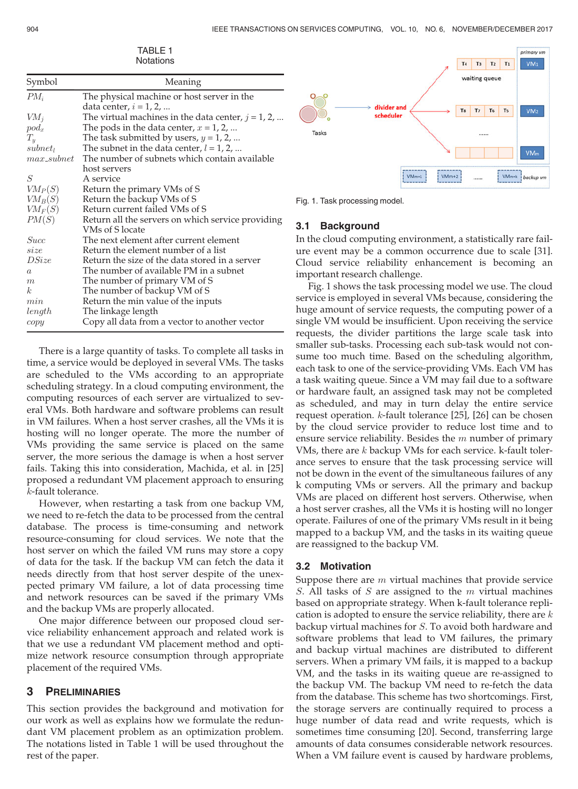| TABLE 1   |  |
|-----------|--|
| Notations |  |

| Symbol              | Meaning                                                                 |
|---------------------|-------------------------------------------------------------------------|
| $PM_i$              | The physical machine or host server in the<br>data center, $i = 1, 2, $ |
| $VM_j$              | The virtual machines in the data center, $j = 1, 2, $                   |
| $pod_x$             | The pods in the data center, $x = 1, 2, $                               |
| $T_{y}$             | The task submitted by users, $y = 1, 2, $                               |
| subnet <sub>l</sub> | The subnet in the data center, $l = 1, 2, $                             |
| $max\_subnet$       | The number of subnets which contain available                           |
|                     | host servers                                                            |
| S                   | A service                                                               |
| $VM_P(S)$           | Return the primary VMs of S                                             |
| $VM_B(S)$           | Return the backup VMs of S                                              |
| $VM_F(S)$           | Return current failed VMs of S                                          |
| PM(S)               | Return all the servers on which service providing                       |
|                     | VMs of S locate                                                         |
| Succ                | The next element after current element                                  |
| size                | Return the element number of a list                                     |
| DSize               | Return the size of the data stored in a server                          |
| $\boldsymbol{a}$    | The number of available PM in a subnet                                  |
| m                   | The number of primary VM of S                                           |
| k <sub>i</sub>      | The number of backup VM of S                                            |
| min                 | Return the min value of the inputs                                      |
| length              | The linkage length                                                      |
| copy                | Copy all data from a vector to another vector                           |

There is a large quantity of tasks. To complete all tasks in time, a service would be deployed in several VMs. The tasks are scheduled to the VMs according to an appropriate scheduling strategy. In a cloud computing environment, the computing resources of each server are virtualized to several VMs. Both hardware and software problems can result in VM failures. When a host server crashes, all the VMs it is hosting will no longer operate. The more the number of VMs providing the same service is placed on the same server, the more serious the damage is when a host server fails. Taking this into consideration, Machida, et al. in [25] proposed a redundant VM placement approach to ensuring k-fault tolerance.

However, when restarting a task from one backup VM, we need to re-fetch the data to be processed from the central database. The process is time-consuming and network resource-consuming for cloud services. We note that the host server on which the failed VM runs may store a copy of data for the task. If the backup VM can fetch the data it needs directly from that host server despite of the unexpected primary VM failure, a lot of data processing time and network resources can be saved if the primary VMs and the backup VMs are properly allocated.

One major difference between our proposed cloud service reliability enhancement approach and related work is that we use a redundant VM placement method and optimize network resource consumption through appropriate placement of the required VMs.

#### 3 PRELIMINARIES

This section provides the background and motivation for our work as well as explains how we formulate the redundant VM placement problem as an optimization problem. The notations listed in Table 1 will be used throughout the rest of the paper.



Fig. 1. Task processing model.

### 3.1 Background

In the cloud computing environment, a statistically rare failure event may be a common occurrence due to scale [31]. Cloud service reliability enhancement is becoming an important research challenge.

Fig. 1 shows the task processing model we use. The cloud service is employed in several VMs because, considering the huge amount of service requests, the computing power of a single VM would be insufficient. Upon receiving the service requests, the divider partitions the large scale task into smaller sub-tasks. Processing each sub-task would not consume too much time. Based on the scheduling algorithm, each task to one of the service-providing VMs. Each VM has a task waiting queue. Since a VM may fail due to a software or hardware fault, an assigned task may not be completed as scheduled, and may in turn delay the entire service request operation. k-fault tolerance [25], [26] can be chosen by the cloud service provider to reduce lost time and to ensure service reliability. Besides the  $m$  number of primary VMs, there are  $k$  backup VMs for each service. k-fault tolerance serves to ensure that the task processing service will not be down in the event of the simultaneous failures of any k computing VMs or servers. All the primary and backup VMs are placed on different host servers. Otherwise, when a host server crashes, all the VMs it is hosting will no longer operate. Failures of one of the primary VMs result in it being mapped to a backup VM, and the tasks in its waiting queue are reassigned to the backup VM.

# 3.2 Motivation

Suppose there are  $m$  virtual machines that provide service S. All tasks of  $S$  are assigned to the  $m$  virtual machines based on appropriate strategy. When k-fault tolerance replication is adopted to ensure the service reliability, there are  $k$ backup virtual machines for S. To avoid both hardware and software problems that lead to VM failures, the primary and backup virtual machines are distributed to different servers. When a primary VM fails, it is mapped to a backup VM, and the tasks in its waiting queue are re-assigned to the backup VM. The backup VM need to re-fetch the data from the database. This scheme has two shortcomings. First, the storage servers are continually required to process a huge number of data read and write requests, which is sometimes time consuming [20]. Second, transferring large amounts of data consumes considerable network resources. When a VM failure event is caused by hardware problems,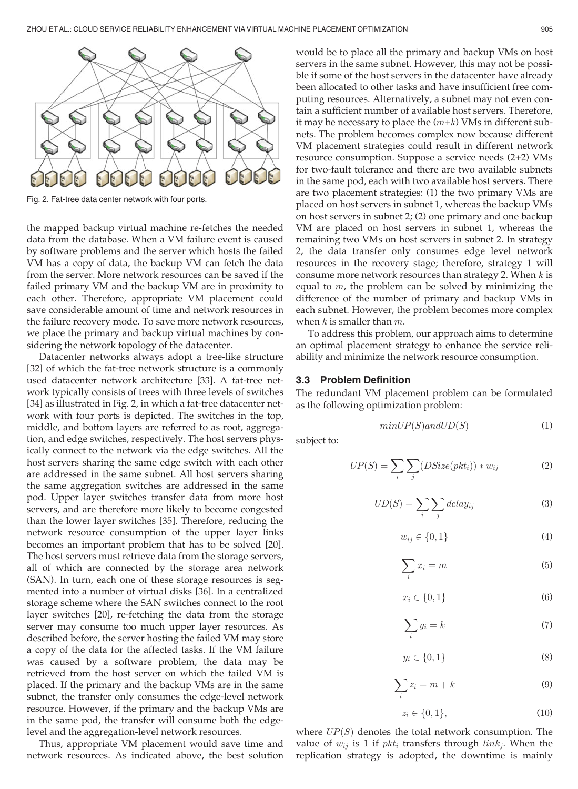

Fig. 2. Fat-tree data center network with four ports.

the mapped backup virtual machine re-fetches the needed data from the database. When a VM failure event is caused by software problems and the server which hosts the failed VM has a copy of data, the backup VM can fetch the data from the server. More network resources can be saved if the failed primary VM and the backup VM are in proximity to each other. Therefore, appropriate VM placement could save considerable amount of time and network resources in the failure recovery mode. To save more network resources, we place the primary and backup virtual machines by considering the network topology of the datacenter.

Datacenter networks always adopt a tree-like structure [32] of which the fat-tree network structure is a commonly used datacenter network architecture [33]. A fat-tree network typically consists of trees with three levels of switches [34] as illustrated in Fig. 2, in which a fat-tree datacenter network with four ports is depicted. The switches in the top, middle, and bottom layers are referred to as root, aggregation, and edge switches, respectively. The host servers physically connect to the network via the edge switches. All the host servers sharing the same edge switch with each other are addressed in the same subnet. All host servers sharing the same aggregation switches are addressed in the same pod. Upper layer switches transfer data from more host servers, and are therefore more likely to become congested than the lower layer switches [35]. Therefore, reducing the network resource consumption of the upper layer links becomes an important problem that has to be solved [20]. The host servers must retrieve data from the storage servers, all of which are connected by the storage area network (SAN). In turn, each one of these storage resources is segmented into a number of virtual disks [36]. In a centralized storage scheme where the SAN switches connect to the root layer switches [20], re-fetching the data from the storage server may consume too much upper layer resources. As described before, the server hosting the failed VM may store a copy of the data for the affected tasks. If the VM failure was caused by a software problem, the data may be retrieved from the host server on which the failed VM is placed. If the primary and the backup VMs are in the same subnet, the transfer only consumes the edge-level network resource. However, if the primary and the backup VMs are in the same pod, the transfer will consume both the edgelevel and the aggregation-level network resources.

Thus, appropriate VM placement would save time and network resources. As indicated above, the best solution

would be to place all the primary and backup VMs on host servers in the same subnet. However, this may not be possible if some of the host servers in the datacenter have already been allocated to other tasks and have insufficient free computing resources. Alternatively, a subnet may not even contain a sufficient number of available host servers. Therefore, it may be necessary to place the  $(m+k)$  VMs in different subnets. The problem becomes complex now because different VM placement strategies could result in different network resource consumption. Suppose a service needs (2+2) VMs for two-fault tolerance and there are two available subnets in the same pod, each with two available host servers. There are two placement strategies: (1) the two primary VMs are placed on host servers in subnet 1, whereas the backup VMs on host servers in subnet 2; (2) one primary and one backup VM are placed on host servers in subnet 1, whereas the remaining two VMs on host servers in subnet 2. In strategy 2, the data transfer only consumes edge level network resources in the recovery stage; therefore, strategy 1 will consume more network resources than strategy 2. When  $k$  is equal to  $m$ , the problem can be solved by minimizing the difference of the number of primary and backup VMs in each subnet. However, the problem becomes more complex when  $k$  is smaller than  $m$ .

To address this problem, our approach aims to determine an optimal placement strategy to enhance the service reliability and minimize the network resource consumption.

#### 3.3 Problem Definition

The redundant VM placement problem can be formulated as the following optimization problem:

$$
minUP(S) and UD(S) \tag{1}
$$

subject to:

$$
UP(S) = \sum_{i} \sum_{j} (DSize(pkt_i)) * w_{ij}
$$
 (2)

$$
UD(S) = \sum_{i} \sum_{j} delay_{ij}
$$
 (3)

$$
w_{ij} \in \{0, 1\} \tag{4}
$$

$$
\sum_{i} x_i = m \tag{5}
$$

$$
x_i \in \{0, 1\} \tag{6}
$$

$$
\sum_{i} y_i = k \tag{7}
$$

$$
y_i \in \{0, 1\} \tag{8}
$$

$$
\sum_{i} z_i = m + k \tag{9}
$$

$$
z_i \in \{0, 1\},\tag{10}
$$

where  $UP(S)$  denotes the total network consumption. The value of  $w_{ij}$  is 1 if  $pkt_i$  transfers through  $link_i$ . When the replication strategy is adopted, the downtime is mainly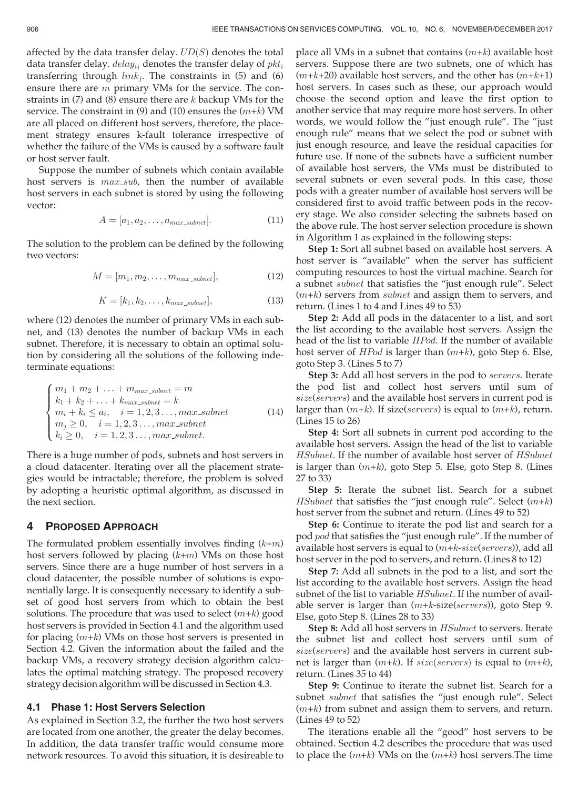affected by the data transfer delay.  $UD(S)$  denotes the total data transfer delay.  $delay_{ij}$  denotes the transfer delay of  $pkt_i$ transferring through  $link_i$ . The constraints in (5) and (6) ensure there are m primary VMs for the service. The constraints in  $(7)$  and  $(8)$  ensure there are k backup VMs for the service. The constraint in (9) and (10) ensures the  $(m+k)$  VM are all placed on different host servers, therefore, the placement strategy ensures k-fault tolerance irrespective of whether the failure of the VMs is caused by a software fault or host server fault.

Suppose the number of subnets which contain available host servers is  $max\_sub$ , then the number of available host servers in each subnet is stored by using the following vector:

$$
A = [a_1, a_2, \dots, a_{max\_subnet}]. \tag{11}
$$

The solution to the problem can be defined by the following two vectors:

$$
M = [m_1, m_2, \dots, m_{max\_subnet}], \tag{12}
$$

$$
K = [k_1, k_2, \dots, k_{max\_subnet}], \tag{13}
$$

where (12) denotes the number of primary VMs in each subnet, and (13) denotes the number of backup VMs in each subnet. Therefore, it is necessary to obtain an optimal solution by considering all the solutions of the following indeterminate equations:

$$
\begin{cases}\nm_1 + m_2 + \ldots + m_{max\_subnet} = m \\
k_1 + k_2 + \ldots + k_{max\_subnet} = k \\
m_i + k_i \le a_i, \quad i = 1, 2, 3 \ldots, max\_subnet \\
m_j \ge 0, \quad i = 1, 2, 3 \ldots, max\_subnet \\
k_i \ge 0, \quad i = 1, 2, 3 \ldots, max\_subnet.\n\end{cases} (14)
$$

There is a huge number of pods, subnets and host servers in a cloud datacenter. Iterating over all the placement strategies would be intractable; therefore, the problem is solved by adopting a heuristic optimal algorithm, as discussed in the next section.

# 4 PROPOSED APPROACH

The formulated problem essentially involves finding  $(k+m)$ host servers followed by placing  $(k+m)$  VMs on those host servers. Since there are a huge number of host servers in a cloud datacenter, the possible number of solutions is exponentially large. It is consequently necessary to identify a subset of good host servers from which to obtain the best solutions. The procedure that was used to select  $(m+k)$  good host servers is provided in Section 4.1 and the algorithm used for placing  $(m+k)$  VMs on those host servers is presented in Section 4.2. Given the information about the failed and the backup VMs, a recovery strategy decision algorithm calculates the optimal matching strategy. The proposed recovery strategy decision algorithm will be discussed in Section 4.3.

#### 4.1 Phase 1: Host Servers Selection

As explained in Section 3.2, the further the two host servers are located from one another, the greater the delay becomes. In addition, the data transfer traffic would consume more network resources. To avoid this situation, it is desireable to

place all VMs in a subnet that contains  $(m+k)$  available host servers. Suppose there are two subnets, one of which has  $(m+k+20)$  available host servers, and the other has  $(m+k+1)$ host servers. In cases such as these, our approach would choose the second option and leave the first option to another service that may require more host servers. In other words, we would follow the "just enough rule". The "just enough rule" means that we select the pod or subnet with just enough resource, and leave the residual capacities for future use. If none of the subnets have a sufficient number of available host servers, the VMs must be distributed to several subnets or even several pods. In this case, those pods with a greater number of available host servers will be considered first to avoid traffic between pods in the recovery stage. We also consider selecting the subnets based on the above rule. The host server selection procedure is shown in Algorithm 1 as explained in the following steps:

Step 1: Sort all subnet based on available host servers. A host server is "available" when the server has sufficient computing resources to host the virtual machine. Search for a subnet subnet that satisfies the "just enough rule". Select  $(m+k)$  servers from *subnet* and assign them to servers, and return. (Lines 1 to 4 and Lines 49 to 53)

Step 2: Add all pods in the datacenter to a list, and sort the list according to the available host servers. Assign the head of the list to variable HPod. If the number of available host server of  $HPod$  is larger than  $(m+k)$ , goto Step 6. Else, goto Step 3. (Lines 5 to 7)

Step 3: Add all host servers in the pod to servers. Iterate the pod list and collect host servers until sum of size(servers) and the available host servers in current pod is larger than  $(m+k)$ . If size(*servers*) is equal to  $(m+k)$ , return. (Lines 15 to 26)

Step 4: Sort all subnets in current pod according to the available host servers. Assign the head of the list to variable HSubnet. If the number of available host server of HSubnet is larger than  $(m+k)$ , goto Step 5. Else, goto Step 8. (Lines 27 to 33)

Step 5: Iterate the subnet list. Search for a subnet *HSubnet* that satisfies the "just enough rule". Select  $(m+k)$ host server from the subnet and return. (Lines 49 to 52)

Step 6: Continue to iterate the pod list and search for a pod pod that satisfies the "just enough rule". If the number of available host servers is equal to  $(m+k-size (servers))$ , add all host server in the pod to servers, and return. (Lines 8 to 12)

Step 7: Add all subnets in the pod to a list, and sort the list according to the available host servers. Assign the head subnet of the list to variable *HSubnet*. If the number of available server is larger than  $(m+k-size(servers))$ , goto Step 9. Else, goto Step 8. (Lines 28 to 33)

Step 8: Add all host servers in *HSubnet* to servers. Iterate the subnet list and collect host servers until sum of size(servers) and the available host servers in current subnet is larger than  $(m+k)$ . If  $size(servers)$  is equal to  $(m+k)$ , return. (Lines 35 to 44)

Step 9: Continue to iterate the subnet list. Search for a subnet subnet that satisfies the "just enough rule". Select  $(m+k)$  from subnet and assign them to servers, and return. (Lines 49 to 52)

The iterations enable all the "good" host servers to be obtained. Section 4.2 describes the procedure that was used to place the  $(m+k)$  VMs on the  $(m+k)$  host servers. The time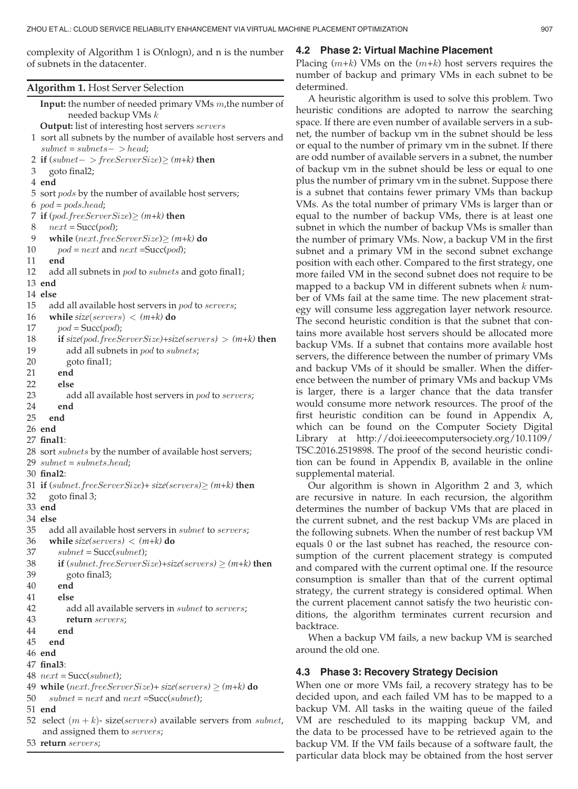complexity of Algorithm 1 is O(nlogn), and n is the number of subnets in the datacenter.

#### Algorithm 1. Host Server Selection

```
Input: the number of needed primary VMs m, the number of
            needed backup VMs k
    Output: list of interesting host servers servers
 1 sort all subnets by the number of available host servers and
    subnet = subnets - > head;2 if (subnet->freeServerSize) \ge (m+k) then<br>3 goto final2;
      goto final2;
 4 end
 5 sort pods by the number of available host servers;
 6 pod = pods.head;
 7 if (pod.freeServerSize) \ge (m+k) then<br>8 next = Succ(node):
 8 next = Succ(pod);<br>9 while (next free)
9 while (next.freesServerSize) \ge (m+k) do<br>10 pod = next and next = Succ(pod):
         pod = next and next = Succ(pod);
11 end
12 add all subnets in pod to subnets and goto final1;
13 end
14 else<br>15 ac
      add all available host servers in pod to servers;
16 while size(servers) < (m+k) do 17 pod = Succ(pod);
         pod = \text{Succ}(pod);18 if size(pod.freeServerSize) + size(servers) > (m+k) then<br>19 add all subnets in nod to subnets:
            add all subnets in pod to subnets;
20 goto final1;
21 end<br>22 else
         else
23 add all available host servers in pod to servers;<br>24 end
         end
25 end
26 end
27 final1:
28 sort subnets by the number of available host servers;
29 subnet = subnets. head;30 final2:
31 if (subnet.freeServerSize)+ size(servers)\ge (m+k) then<br>32 onto final 3:
      goto final 3;
33 end
34 else
35 add all available host servers in subnet to servers;
36 while size(servers) \langle (m+k) do
37 \text{subnet} = \text{Succ}(\text{subnet});<br>38 \text{if} (\text{subnet}, \text{free} \text{ServerS})38 if (subnet.freeServerSize)+size(servers) \ge (m+k) then<br>39 goto finals:
           goto final3;
40 end
41 else
42 add all available servers in subnet to servers;
43 return servers;
44 end<br>45 end
      end
46 end
47 final3:
48 next = Succ(subnet);49 while (next.freeServerSize)+ size(servers) \ge (m+k) do<br>50 subnet = next and next = Succ(subnet);
      subnet = next and next = Succ(subnet);51 end
52 select (m + k)- size(servers) available servers from subnet,
    and assigned them to servers;
53 return servers;
```
# 4.2 Phase 2: Virtual Machine Placement

Placing  $(m+k)$  VMs on the  $(m+k)$  host servers requires the number of backup and primary VMs in each subnet to be determined.

A heuristic algorithm is used to solve this problem. Two heuristic conditions are adopted to narrow the searching space. If there are even number of available servers in a subnet, the number of backup vm in the subnet should be less or equal to the number of primary vm in the subnet. If there are odd number of available servers in a subnet, the number of backup vm in the subnet should be less or equal to one plus the number of primary vm in the subnet. Suppose there is a subnet that contains fewer primary VMs than backup VMs. As the total number of primary VMs is larger than or equal to the number of backup VMs, there is at least one subnet in which the number of backup VMs is smaller than the number of primary VMs. Now, a backup VM in the first subnet and a primary VM in the second subnet exchange position with each other. Compared to the first strategy, one more failed VM in the second subnet does not require to be mapped to a backup VM in different subnets when  $k$  number of VMs fail at the same time. The new placement strategy will consume less aggregation layer network resource. The second heuristic condition is that the subnet that contains more available host servers should be allocated more backup VMs. If a subnet that contains more available host servers, the difference between the number of primary VMs and backup VMs of it should be smaller. When the difference between the number of primary VMs and backup VMs is larger, there is a larger chance that the data transfer would consume more network resources. The proof of the first heuristic condition can be found in Appendix A, which can be found on the Computer Society Digital Library at [http://doi.ieeecomputersociety.org/10.1109/](http://doi.ieeecomputersociety.org/10.1109/TSC.2016.2519898) [TSC.2016.2519898](http://doi.ieeecomputersociety.org/10.1109/TSC.2016.2519898). The proof of the second heuristic condition can be found in Appendix B, available in the online supplemental material.

Our algorithm is shown in Algorithm 2 and 3, which are recursive in nature. In each recursion, the algorithm determines the number of backup VMs that are placed in the current subnet, and the rest backup VMs are placed in the following subnets. When the number of rest backup VM equals 0 or the last subnet has reached, the resource consumption of the current placement strategy is computed and compared with the current optimal one. If the resource consumption is smaller than that of the current optimal strategy, the current strategy is considered optimal. When the current placement cannot satisfy the two heuristic conditions, the algorithm terminates current recursion and backtrace.

When a backup VM fails, a new backup VM is searched around the old one.

#### 4.3 Phase 3: Recovery Strategy Decision

When one or more VMs fail, a recovery strategy has to be decided upon, and each failed VM has to be mapped to a backup VM. All tasks in the waiting queue of the failed VM are rescheduled to its mapping backup VM, and the data to be processed have to be retrieved again to the backup VM. If the VM fails because of a software fault, the particular data block may be obtained from the host server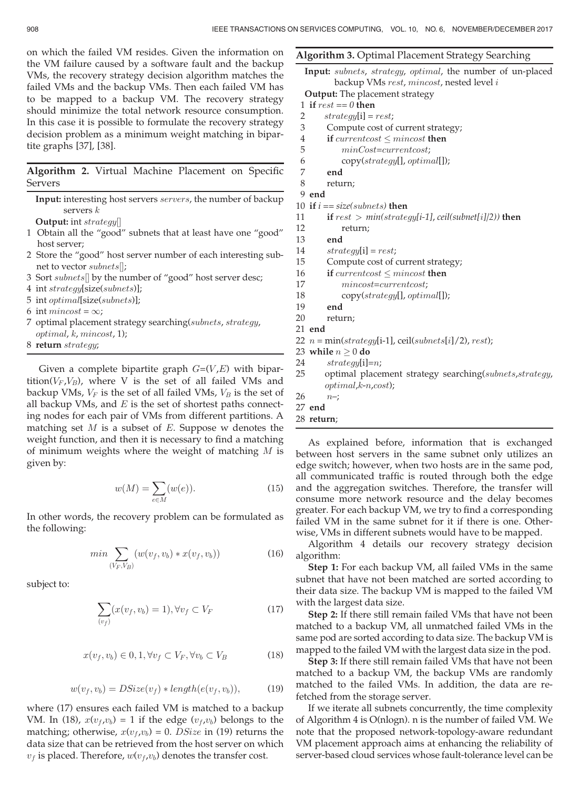on which the failed VM resides. Given the information on the VM failure caused by a software fault and the backup VMs, the recovery strategy decision algorithm matches the failed VMs and the backup VMs. Then each failed VM has to be mapped to a backup VM. The recovery strategy should minimize the total network resource consumption. In this case it is possible to formulate the recovery strategy decision problem as a minimum weight matching in bipartite graphs [37], [38].

Algorithm 2. Virtual Machine Placement on Specific Servers

Input: interesting host servers servers, the number of backup servers k

Output: int  $strategy$ 

- 1 Obtain all the "good" subnets that at least have one "good" host server;
- 2 Store the "good" host server number of each interesting subnet to vector  $subnets$ <sup>[]</sup>;
- 3 Sort subnets<sup>[]</sup> by the number of "good" host server desc;
- 4 int strategy[size(subnets)];
- 5 int optimal[size(subnets)];
- 6 int *mincost* =  $\infty$ ;
- 7 optimal placement strategy searching(subnets, strategy, optimal, k, mincost, 1);
- return strategy;

Given a complete bipartite graph  $G=(V,E)$  with bipartition( $V_F$ , $V_B$ ), where V is the set of all failed VMs and backup VMs,  $V_F$  is the set of all failed VMs,  $V_B$  is the set of all backup VMs, and  $E$  is the set of shortest paths connecting nodes for each pair of VMs from different partitions. A matching set  $M$  is a subset of  $E$ . Suppose w denotes the weight function, and then it is necessary to find a matching of minimum weights where the weight of matching  $M$  is given by:

$$
w(M) = \sum_{e \in M} (w(e)).
$$
\n(15)

In other words, the recovery problem can be formulated as the following:

$$
\min \sum_{(V_F, V_B)} (w(v_f, v_b) * x(v_f, v_b)) \tag{16}
$$

subject to:

$$
\sum_{(v_f)} (x(v_f, v_b) = 1), \forall v_f \subset V_F \tag{17}
$$

$$
x(v_f, v_b) \in 0, 1, \forall v_f \subset V_F, \forall v_b \subset V_B \tag{18}
$$

$$
w(v_f, v_b) = DSize(v_f) * length(e(v_f, v_b)),
$$
\n(19)

where (17) ensures each failed VM is matched to a backup VM. In (18),  $x(v_f, v_b) = 1$  if the edge  $(v_f, v_b)$  belongs to the matching; otherwise,  $x(v_f, v_b) = 0$ . *DSize* in (19) returns the data size that can be retrieved from the host server on which  $v_f$  is placed. Therefore,  $w(v_f, v_b)$  denotes the transfer cost.

#### Algorithm 3. Optimal Placement Strategy Searching

Input: subnets, strategy, optimal, the number of un-placed backup VMs rest, mincost, nested level i

Output: The placement strategy

- 1 if  $rest == 0$  then<br>2  $strateav[i] =$
- $strateav[i] = rest;$
- 3 Compute cost of current strategy;
- 4 if currentcost  $\leq$  mincost then<br>5  $minCost=currentcost$ :
	- $minCost = current cost;$
- 6 copy( $strategy[]$ ,  $optimal[]$ );<br>7 end
- end
- 8 return;

```
9 end
```

```
10 if i = size(subnets) then
```
11 if  $rest > min(strategy[i-1],$  ceil(subnet[i]/2)) then

```
12 return;<br>13 end
```
end

```
14 strategy[i] = rest;
```
15 Compute cost of current strategy;

- 16 if currentcost  $\leq$  mincost **then**<br>17 mincost=currentcost:
- 17 mincost=currentcost;<br>18 copy(strategy[] ontin
- $\text{copy}(strategy[], optimal[])$ ;
- 19 end
- 20 return;
- 21 end
- 22  $n = min(strategy[i-1],$  ceil(subnets[i]/2), rest);

```
23 while n \geq 0 do 24 strateaulil=
```

```
24 strategy[i]=n;<br>25 optimal place
```
optimal placement strategy searching(subnets,strategy, optimal,k-n,cost);

```
26 \t n =
```

```
27 end
```

```
28 return;
```
As explained before, information that is exchanged between host servers in the same subnet only utilizes an edge switch; however, when two hosts are in the same pod, all communicated traffic is routed through both the edge and the aggregation switches. Therefore, the transfer will consume more network resource and the delay becomes greater. For each backup VM, we try to find a corresponding failed VM in the same subnet for it if there is one. Otherwise, VMs in different subnets would have to be mapped.

Algorithm 4 details our recovery strategy decision algorithm:

Step 1: For each backup VM, all failed VMs in the same subnet that have not been matched are sorted according to their data size. The backup VM is mapped to the failed VM with the largest data size.

Step 2: If there still remain failed VMs that have not been matched to a backup VM, all unmatched failed VMs in the same pod are sorted according to data size. The backup VM is mapped to the failed VM with the largest data size in the pod.

Step 3: If there still remain failed VMs that have not been matched to a backup VM, the backup VMs are randomly matched to the failed VMs. In addition, the data are refetched from the storage server.

If we iterate all subnets concurrently, the time complexity of Algorithm 4 is O(nlogn). n is the number of failed VM. We note that the proposed network-topology-aware redundant VM placement approach aims at enhancing the reliability of server-based cloud services whose fault-tolerance level can be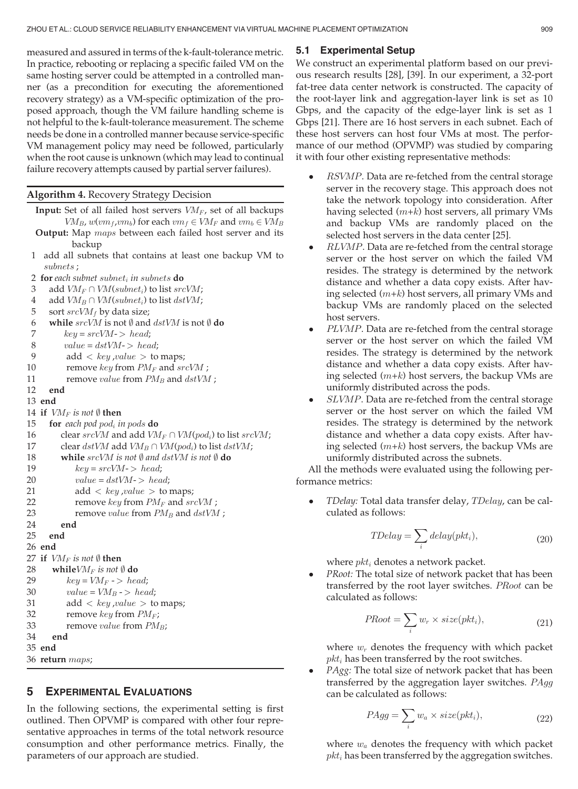measured and assured in terms of the k-fault-tolerance metric. In practice, rebooting or replacing a specific failed VM on the same hosting server could be attempted in a controlled manner (as a precondition for executing the aforementioned recovery strategy) as a VM-specific optimization of the proposed approach, though the VM failure handling scheme is not helpful to the k-fault-tolerance measurement. The scheme needs be done in a controlled manner because service-specific VM management policy may need be followed, particularly when the root cause is unknown (which may lead to continual failure recovery attempts caused by partial server failures).

# Algorithm 4. Recovery Strategy Decision

- **Input:** Set of all failed host servers  $VM_F$ , set of all backups  $VM_B$ ,  $w(vm_f,vm_b)$  for each  $vm_f \in VM_F$  and  $vm_b \in VM_B$
- Output: Map maps between each failed host server and its backup
- 1 add all subnets that contains at least one backup VM to subnets ;
- 2 for each subnet subnet<sub>i</sub> in subnets do
- 3 add  $VM_F \cap VM(subnet_i)$  to list srcVM;<br>4 add  $VM_B \cap VM(subnet_i)$  to list dstVM:
- 4 add  $VM_B \cap VM(subnet_i)$  to list  $dstVM$ ;<br>5 sort  $srcVM_f$  by data size:
- sort  $srcVM_f$  by data size;
- 6 while  $srcVM$  is not  $\emptyset$  and  $dstVM$  is not  $\emptyset$  do<br>7  $kev = srcVM$  > head:
- $key = srcVM$  > head;
- 8  $value = dstVM \rightarrow head;$
- 9 add  $\langle key, value \rangle$  to maps;
- 10 remove key from  $PM_F$  and  $srcVM$ ;
- 11 remove *value* from  $PM_B$  and  $dstVM$ ;<br>12 **end**
- end
- 13 end
- 14 if  $VM_F$  is not  $\emptyset$  then<br>15 for each pod pod<sub>i</sub> is
- for each pod  $pod_i$  in pods do
- 16 clear  $srcVM$  and add  $VM<sub>F</sub> \cap VM(pod<sub>i</sub>)$  to list  $srcVM$ ;<br>17 clear  $dstVM$  add  $VM<sub>B</sub> \cap VM(pod<sub>i</sub>)$  to list  $dstVM$ ;
- 17 clear  $dstVM$  add  $VM_B \cap VM(pod_i)$  to list  $dstVM$ ;<br>18 while  $srcVM$  is not  $\emptyset$  and  $dstVM$  is not  $\emptyset$  do
- 18 while  $srcVM$  is not  $\emptyset$  and  $dstVM$  is not  $\emptyset$  do 19  $keu = srcVM \geq head$ :

```
19 key = srcVM \rightarrow head;<br>20 value = dstVM \rightarrow hea
```
- $value = dstVM$  > head;
- 21 add  $\langle key, value \rangle$  to maps;<br>22 remove key from  $PM_F$  and sr
- 22 remove key from  $PM_F$  and srcVM ;<br>23 remove value from  $PM_B$  and dstVM remove value from  $PM_B$  and  $dstVM$ ;
- 
- $24$  end<br> $25$  end end

```
26 end
```

```
27 if VM_F is not \emptyset then<br>28 while VM_F is not (
28 while VM_F is not \emptyset do<br>29 key = VM_F - > hed
                  key = VM_F - > head;
```

```
30 value = VM_B \rightarrow head;
```
31 add  $\langle key, value \rangle$  to maps;

```
32 remove key from PM_F;
```

```
33 remove value from PM_B;
```

```
34 end
```

```
35 end
```
# 36 return maps;

# 5 EXPERIMENTAL EVALUATIONS

In the following sections, the experimental setting is first outlined. Then OPVMP is compared with other four representative approaches in terms of the total network resource consumption and other performance metrics. Finally, the parameters of our approach are studied.

# 5.1 Experimental Setup

We construct an experimental platform based on our previous research results [28], [39]. In our experiment, a 32-port fat-tree data center network is constructed. The capacity of the root-layer link and aggregation-layer link is set as 10 Gbps, and the capacity of the edge-layer link is set as 1 Gbps [21]. There are 16 host servers in each subnet. Each of these host servers can host four VMs at most. The performance of our method (OPVMP) was studied by comparing it with four other existing representative methods:

- RSVMP. Data are re-fetched from the central storage server in the recovery stage. This approach does not take the network topology into consideration. After having selected  $(m+k)$  host servers, all primary VMs and backup VMs are randomly placed on the selected host servers in the data center [25].
- RLVMP. Data are re-fetched from the central storage server or the host server on which the failed VM resides. The strategy is determined by the network distance and whether a data copy exists. After having selected  $(m+k)$  host servers, all primary VMs and backup VMs are randomly placed on the selected host servers.
- PLVMP. Data are re-fetched from the central storage server or the host server on which the failed VM resides. The strategy is determined by the network distance and whether a data copy exists. After having selected  $(m+k)$  host servers, the backup VMs are uniformly distributed across the pods.
- SLVMP. Data are re-fetched from the central storage server or the host server on which the failed VM resides. The strategy is determined by the network distance and whether a data copy exists. After having selected  $(m+k)$  host servers, the backup VMs are uniformly distributed across the subnets.

All the methods were evaluated using the following performance metrics:

 TDelay: Total data transfer delay, TDelay, can be calculated as follows:

$$
TDelay = \sum_{i} delay(pkt_i), \qquad (20)
$$

where  $pkt_i$  denotes a network packet.

 PRoot: The total size of network packet that has been transferred by the root layer switches. PRoot can be calculated as follows:

$$
PROot = \sum_{i} w_r \times size(pkt_i), \qquad (21)
$$

where  $w_r$  denotes the frequency with which packet  $pkt_i$  has been transferred by the root switches.

PAgg: The total size of network packet that has been transferred by the aggregation layer switches. PAgg can be calculated as follows:

$$
PAgg = \sum_{i} w_a \times size(pkt_i), \qquad (22)
$$

where  $w_a$  denotes the frequency with which packet  $pkt_i$  has been transferred by the aggregation switches.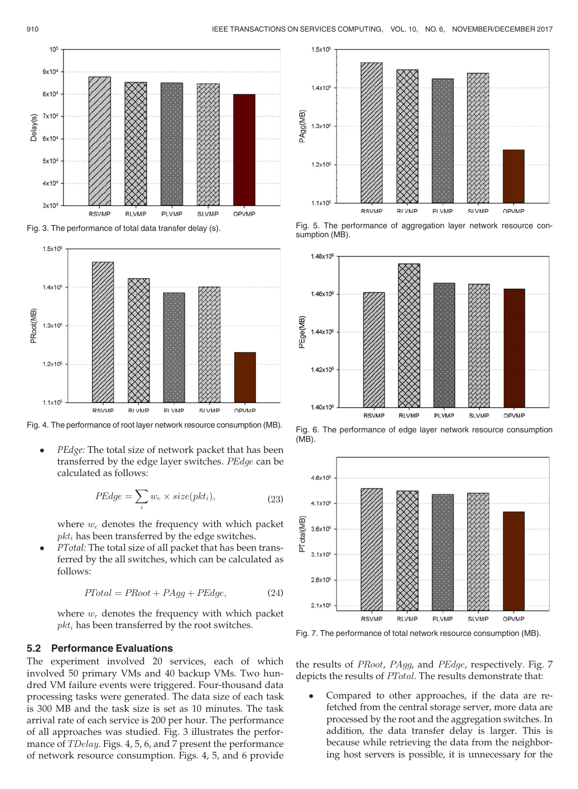

Fig. 3. The performance of total data transfer delay (s).



Fig. 4. The performance of root layer network resource consumption (MB).

PEdge: The total size of network packet that has been transferred by the edge layer switches. PEdge can be calculated as follows:

$$
PEdge = \sum_{i} w_e \times size(pkt_i), \qquad (23)
$$

where  $w_e$  denotes the frequency with which packet  $pkt_i$  has been transferred by the edge switches.

 PTotal: The total size of all packet that has been transferred by the all switches, which can be calculated as follows:

$$
PTotal = PRoot + PAgg + PEdge,
$$
\n(24)

where  $w_r$  denotes the frequency with which packet  $pkt_i$  has been transferred by the root switches.

#### 5.2 Performance Evaluations

The experiment involved 20 services, each of which involved 50 primary VMs and 40 backup VMs. Two hundred VM failure events were triggered. Four-thousand data processing tasks were generated. The data size of each task is 300 MB and the task size is set as 10 minutes. The task arrival rate of each service is 200 per hour. The performance of all approaches was studied. Fig. 3 illustrates the performance of *TDelay*. Figs. 4, 5, 6, and 7 present the performance of network resource consumption. Figs. 4, 5, and 6 provide



Fig. 5. The performance of aggregation layer network resource consumption (MB).



Fig. 6. The performance of edge layer network resource consumption (MB).



Fig. 7. The performance of total network resource consumption (MB).

the results of PRoot, PAgg, and PEdge, respectively. Fig. 7 depicts the results of PTotal. The results demonstrate that:

 Compared to other approaches, if the data are refetched from the central storage server, more data are processed by the root and the aggregation switches. In addition, the data transfer delay is larger. This is because while retrieving the data from the neighboring host servers is possible, it is unnecessary for the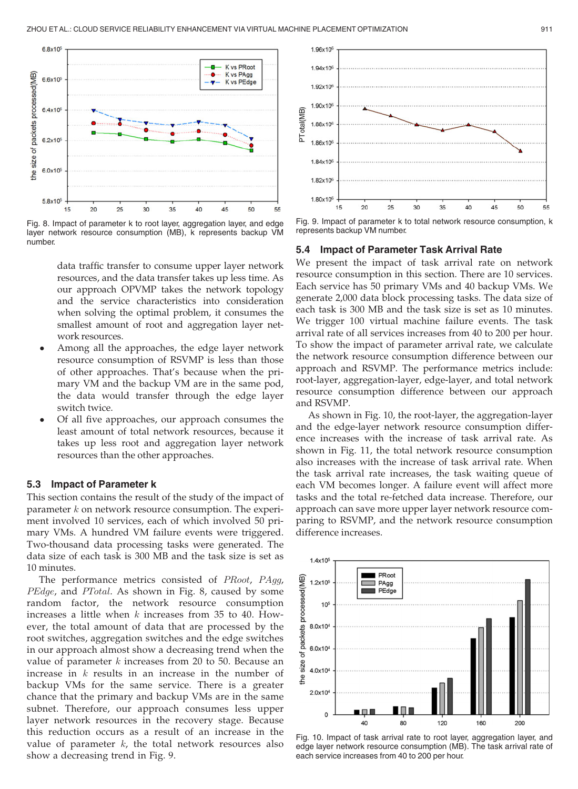

Fig. 8. Impact of parameter k to root layer, aggregation layer, and edge layer network resource consumption (MB), k represents backup VM number.

data traffic transfer to consume upper layer network resources, and the data transfer takes up less time. As our approach OPVMP takes the network topology and the service characteristics into consideration when solving the optimal problem, it consumes the smallest amount of root and aggregation layer network resources.

- Among all the approaches, the edge layer network resource consumption of RSVMP is less than those of other approaches. That's because when the primary VM and the backup VM are in the same pod, the data would transfer through the edge layer switch twice.
- Of all five approaches, our approach consumes the least amount of total network resources, because it takes up less root and aggregation layer network resources than the other approaches.

#### 5.3 Impact of Parameter k

This section contains the result of the study of the impact of parameter  $k$  on network resource consumption. The experiment involved 10 services, each of which involved 50 primary VMs. A hundred VM failure events were triggered. Two-thousand data processing tasks were generated. The data size of each task is 300 MB and the task size is set as 10 minutes.

The performance metrics consisted of PRoot, PAgg, PEdge, and PTotal. As shown in Fig. 8, caused by some random factor, the network resource consumption increases a little when  $k$  increases from 35 to 40. However, the total amount of data that are processed by the root switches, aggregation switches and the edge switches in our approach almost show a decreasing trend when the value of parameter  $k$  increases from 20 to 50. Because an increase in  $k$  results in an increase in the number of backup VMs for the same service. There is a greater chance that the primary and backup VMs are in the same subnet. Therefore, our approach consumes less upper layer network resources in the recovery stage. Because this reduction occurs as a result of an increase in the value of parameter  $k$ , the total network resources also show a decreasing trend in Fig. 9.



Fig. 9. Impact of parameter k to total network resource consumption, k represents backup VM number.

#### 5.4 Impact of Parameter Task Arrival Rate

We present the impact of task arrival rate on network resource consumption in this section. There are 10 services. Each service has 50 primary VMs and 40 backup VMs. We generate 2,000 data block processing tasks. The data size of each task is 300 MB and the task size is set as 10 minutes. We trigger 100 virtual machine failure events. The task arrival rate of all services increases from 40 to 200 per hour. To show the impact of parameter arrival rate, we calculate the network resource consumption difference between our approach and RSVMP. The performance metrics include: root-layer, aggregation-layer, edge-layer, and total network resource consumption difference between our approach and RSVMP.

As shown in Fig. 10, the root-layer, the aggregation-layer and the edge-layer network resource consumption difference increases with the increase of task arrival rate. As shown in Fig. 11, the total network resource consumption also increases with the increase of task arrival rate. When the task arrival rate increases, the task waiting queue of each VM becomes longer. A failure event will affect more tasks and the total re-fetched data increase. Therefore, our approach can save more upper layer network resource comparing to RSVMP, and the network resource consumption difference increases.



Fig. 10. Impact of task arrival rate to root layer, aggregation layer, and edge layer network resource consumption (MB). The task arrival rate of each service increases from 40 to 200 per hour.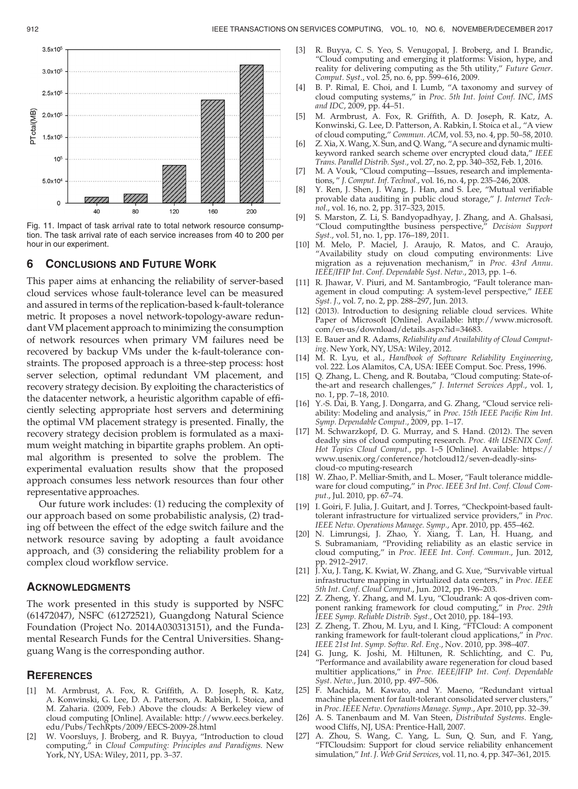

Fig. 11. Impact of task arrival rate to total network resource consumption. The task arrival rate of each service increases from 40 to 200 per hour in our experiment.

#### 6 CONCLUSIONS AND FUTURE WORK

This paper aims at enhancing the reliability of server-based cloud services whose fault-tolerance level can be measured and assured in terms of the replication-based k-fault-tolerance metric. It proposes a novel network-topology-aware redundant VM placement approach to minimizing the consumption of network resources when primary VM failures need be recovered by backup VMs under the k-fault-tolerance constraints. The proposed approach is a three-step process: host server selection, optimal redundant VM placement, and recovery strategy decision. By exploiting the characteristics of the datacenter network, a heuristic algorithm capable of efficiently selecting appropriate host servers and determining the optimal VM placement strategy is presented. Finally, the recovery strategy decision problem is formulated as a maximum weight matching in bipartite graphs problem. An optimal algorithm is presented to solve the problem. The experimental evaluation results show that the proposed approach consumes less network resources than four other representative approaches.

Our future work includes: (1) reducing the complexity of our approach based on some probabilistic analysis, (2) trading off between the effect of the edge switch failure and the network resource saving by adopting a fault avoidance approach, and (3) considering the reliability problem for a complex cloud workflow service.

#### ACKNOWLEDGMENTS

The work presented in this study is supported by NSFC (61472047), NSFC (61272521), Guangdong Natural Science Foundation (Project No. 2014A030313151), and the Fundamental Research Funds for the Central Universities. Shangguang Wang is the corresponding author.

#### **REFERENCES**

- [1] M. Armbrust, A. Fox, R. Griffith, A. D. Joseph, R. Katz, A. Konwinski, G. Lee, D. A. Patterson, A. Rabkin, I. Stoica, and M. Zaharia. (2009, Feb.) Above the clouds: A Berkeley view of cloud computing [Online]. Available: [http://www.eecs.berkeley.](http://www.eecs.berkeley.edu/Pubs/TechRpts/2009/EECS-2009-28.html) [edu/Pubs/TechRpts/2009/EECS-2009-28.html](http://www.eecs.berkeley.edu/Pubs/TechRpts/2009/EECS-2009-28.html)
- [2] W. Voorsluys, J. Broberg, and R. Buyya, "Introduction to cloud computing," in Cloud Computing: Principles and Paradigms. New York, NY, USA: Wiley, 2011, pp. 3–37.
- [3] R. Buyya, C. S. Yeo, S. Venugopal, J. Broberg, and I. Brandic, "Cloud computing and emerging it platforms: Vision, hype, and reality for delivering computing as the 5th utility," Future Gener. Comput. Syst., vol. 25, no. 6, pp. 599–616, 2009.
- [4] B. P. Rimal, E. Choi, and I. Lumb, "A taxonomy and survey of cloud computing systems," in Proc. 5th Int. Joint Conf. INC, IMS and IDC, 2009, pp. 44–51.
- [5] M. Armbrust, A. Fox, R. Griffith, A. D. Joseph, R. Katz, A. Konwinski, G. Lee, D. Patterson, A. Rabkin, I. Stoica et al., "A view of cloud computing," Commun. ACM, vol. 53, no. 4, pp. 50–58, 2010.
- Z. Xia, X. Wang, X. Sun, and Q. Wang, "A secure and dynamic multikeyword ranked search scheme over encrypted cloud data," IEEE Trans. Parallel Distrib. Syst., vol. 27, no. 2, pp. 340–352, Feb. 1, 2016.
- [7] M. A Vouk, "Cloud computing—Issues, research and implementations, " J. Comput. Inf. Technol., vol. 16, no. 4, pp. 235–246, 2008.
- [8] Y. Ren, J. Shen, J. Wang, J. Han, and S. Lee, "Mutual verifiable provable data auditing in public cloud storage," J. Internet Technol., vol. 16, no. 2, pp. 317–323, 2015.
- [9] S. Marston, Z. Li, S. Bandyopadhyay, J. Zhang, and A. Ghalsasi, "Cloud computing the business perspective," Decision Support Syst., vol. 51, no. 1, pp. 176–189, 2011.
- [10] M. Melo, P. Maciel, J. Araujo, R. Matos, and C. Araujo, "Availability study on cloud computing environments: Live migration as a rejuvenation mechanism, $\bar{m}$  in Proc. 43rd Annu. IEEE/IFIP Int. Conf. Dependable Syst. Netw., 2013, pp. 1–6.
- [11] R. Jhawar, V. Piuri, and M. Santambrogio, "Fault tolerance management in cloud computing: A system-level perspective," IEEE Syst. J., vol. 7, no. 2, pp. 288–297, Jun. 2013.
- [12] (2013). Introduction to designing reliable cloud services. White Paper of Microsoft [Online]. Available: [http://www.microsoft.](http://www.microsoft.com/en-us/download/details.aspx?id=34683) [com/en-us/download/details.aspx?id=34683.](http://www.microsoft.com/en-us/download/details.aspx?id=34683)
- [13] E. Bauer and R. Adams, Reliability and Availability of Cloud Computing. New York, NY, USA: Wiley, 2012.
- M. R. Lyu, et al., Handbook of Software Reliability Engineering, vol. 222. Los Alamitos, CA, USA: IEEE Comput. Soc. Press, 1996.
- [15] Q. Zhang, L. Cheng, and R. Boutaba, "Cloud computing: State-ofthe-art and research challenges," J. Internet Services Appl., vol. 1, no. 1, pp. 7–18, 2010.
- [16] Y.-S. Dai, B. Yang, J. Dongarra, and G. Zhang, "Cloud service reliability: Modeling and analysis," in Proc. 15th IEEE Pacific Rim Int. Symp. Dependable Comput., 2009, pp. 1–17.
- [17] M. Schwarzkopf, D. G. Murray, and S. Hand. (2012). The seven deadly sins of cloud computing research. Proc. 4th USENIX Conf. Hot Topics Cloud Comput., pp. 1–5 [Online]. Available: [https://](https://www.usenix.org/conference/hotcloud12/seven-deadly-sins-cloud-co mputing-research) [www.usenix.org/conference/hotcloud12/seven-deadly-sins](https://www.usenix.org/conference/hotcloud12/seven-deadly-sins-cloud-co mputing-research)[cloud-co mputing-research](https://www.usenix.org/conference/hotcloud12/seven-deadly-sins-cloud-co mputing-research)
- [18] W. Zhao, P. Melliar-Smith, and L. Moser, "Fault tolerance middleware for cloud computing," in Proc. IEEE 3rd Int. Conf. Cloud Comput., Jul. 2010, pp. 67–74.
- [19] I. Goiri, F. Julia, J. Guitart, and J. Torres, "Checkpoint-based faulttolerant infrastructure for virtualized service providers," in Proc. IEEE Netw. Operations Manage. Symp., Apr. 2010, pp. 455–462.
- [20] N. Limrungsi, J. Zhao, Y. Xiang, T. Lan, H. Huang, and S. Subramaniam, "Providing reliability as an elastic service in cloud computing," in Proc. IEEE Int. Conf. Commun., Jun. 2012, pp. 2912–2917.
- [21] J. Xu, J. Tang, K. Kwiat, W. Zhang, and G. Xue, "Survivable virtual infrastructure mapping in virtualized data centers," in Proc. IEEE 5th Int. Conf. Cloud Comput., Jun. 2012, pp. 196–203.
- [22] Z. Zheng, Y. Zhang, and M. Lyu, "Cloudrank: A qos-driven component ranking framework for cloud computing," in Proc. 29th IEEE Symp. Reliable Distrib. Syst., Oct 2010, pp. 184–193.
- [23] Z. Zheng, T. Zhou, M. Lyu, and I. King, "FTCloud: A component ranking framework for fault-tolerant cloud applications," in Proc. IEEE 21st Int. Symp. Softw. Rel. Eng., Nov. 2010, pp. 398–407.
- [24] G. Jung, K. Joshi, M. Hiltunen, R. Schlichting, and C. Pu, "Performance and availability aware regeneration for cloud based multitier applications," in Proc. IEEE/IFIP Int. Conf. Dependable Syst. Netw., Jun. 2010, pp. 497–506.
- [25] F. Machida, M. Kawato, and Y. Maeno, "Redundant virtual machine placement for fault-tolerant consolidated server clusters," in Proc. IEEE Netw. Operations Manage. Symp., Apr. 2010, pp. 32–39.
- [26] A. S. Tanenbaum and M. Van Steen, Distributed Systems. Englewood Cliffs, NJ, USA: Prentice-Hall, 2007.
- [27] A. Zhou, S. Wang, C. Yang, L. Sun, Q. Sun, and F. Yang, "FTCloudsim: Support for cloud service reliability enhancement simulation," Int. J. Web Grid Services, vol. 11, no. 4, pp. 347–361, 2015.